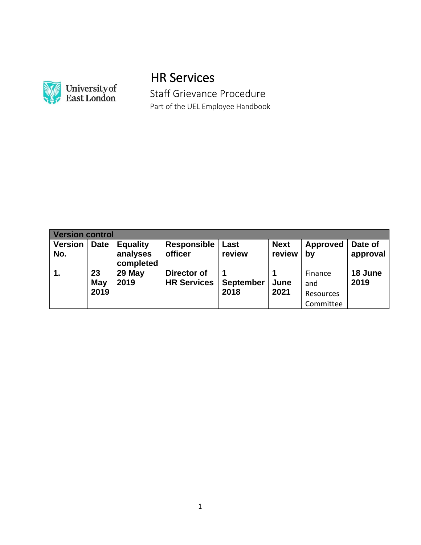

# HR Services

 Staff Grievance Procedure Part of the UEL Employee Handbook

| <b>Version control</b> |                   |                                          |                                   |                          |                       |                                          |                     |
|------------------------|-------------------|------------------------------------------|-----------------------------------|--------------------------|-----------------------|------------------------------------------|---------------------|
| <b>Version</b><br>No.  | <b>Date</b>       | <b>Equality</b><br>analyses<br>completed | <b>Responsible</b><br>officer     | Last<br>review           | <b>Next</b><br>review | <b>Approved</b><br>by                    | Date of<br>approval |
| 1.                     | 23<br>May<br>2019 | 29 May<br>2019                           | Director of<br><b>HR Services</b> | <b>September</b><br>2018 | June<br>2021          | Finance<br>and<br>Resources<br>Committee | 18 June<br>2019     |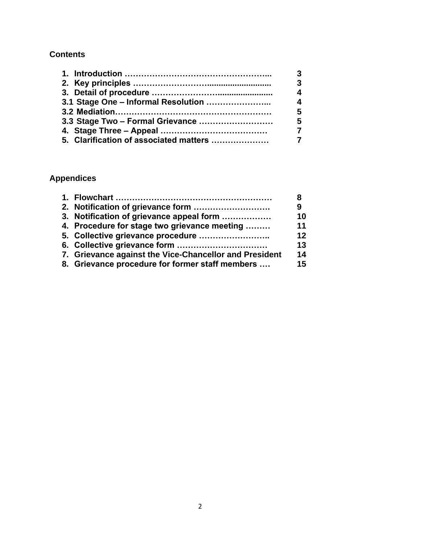## **Contents**

|                                        | 3                       |
|----------------------------------------|-------------------------|
|                                        | $\overline{3}$          |
|                                        | $\overline{\mathbf{4}}$ |
|                                        | $\boldsymbol{\Lambda}$  |
|                                        | 5                       |
|                                        | -5                      |
|                                        | $\overline{7}$          |
| 5. Clarification of associated matters |                         |

# **Appendices**

|                                                        | 8  |
|--------------------------------------------------------|----|
|                                                        | 9  |
| 3. Notification of grievance appeal form               | 10 |
| 4. Procedure for stage two grievance meeting           | 11 |
|                                                        | 12 |
|                                                        | 13 |
| 7. Grievance against the Vice-Chancellor and President | 14 |
| 8. Grievance procedure for former staff members        | 15 |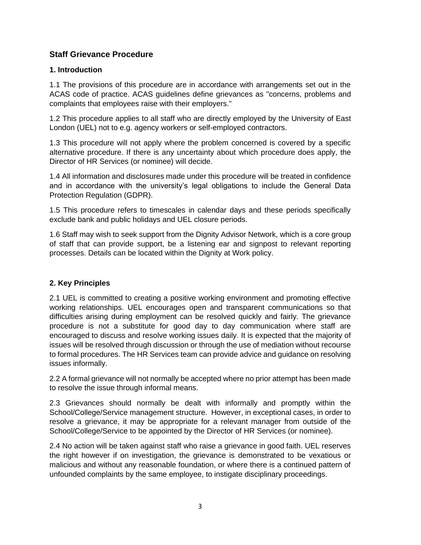## **Staff Grievance Procedure**

## **1. Introduction**

1.1 The provisions of this procedure are in accordance with arrangements set out in the ACAS code of practice. ACAS guidelines define grievances as "concerns, problems and complaints that employees raise with their employers."

1.2 This procedure applies to all staff who are directly employed by the University of East London (UEL) not to e.g. agency workers or self-employed contractors.

1.3 This procedure will not apply where the problem concerned is covered by a specific alternative procedure. If there is any uncertainty about which procedure does apply, the Director of HR Services (or nominee) will decide.

1.4 All information and disclosures made under this procedure will be treated in confidence and in accordance with the university's legal obligations to include the General Data Protection Regulation (GDPR).

1.5 This procedure refers to timescales in calendar days and these periods specifically exclude bank and public holidays and UEL closure periods.

1.6 Staff may wish to seek support from the Dignity Advisor Network, which is a core group of staff that can provide support, be a listening ear and signpost to relevant reporting processes. Details can be located within the Dignity at Work policy.

## **2. Key Principles**

2.1 UEL is committed to creating a positive working environment and promoting effective working relationships. UEL encourages open and transparent communications so that difficulties arising during employment can be resolved quickly and fairly. The grievance procedure is not a substitute for good day to day communication where staff are encouraged to discuss and resolve working issues daily. It is expected that the majority of issues will be resolved through discussion or through the use of mediation without recourse to formal procedures. The HR Services team can provide advice and guidance on resolving issues informally.

2.2 A formal grievance will not normally be accepted where no prior attempt has been made to resolve the issue through informal means.

2.3 Grievances should normally be dealt with informally and promptly within the School/College/Service management structure. However, in exceptional cases, in order to resolve a grievance, it may be appropriate for a relevant manager from outside of the School/College/Service to be appointed by the Director of HR Services (or nominee).

2.4 No action will be taken against staff who raise a grievance in good faith. UEL reserves the right however if on investigation, the grievance is demonstrated to be vexatious or malicious and without any reasonable foundation, or where there is a continued pattern of unfounded complaints by the same employee, to instigate disciplinary proceedings.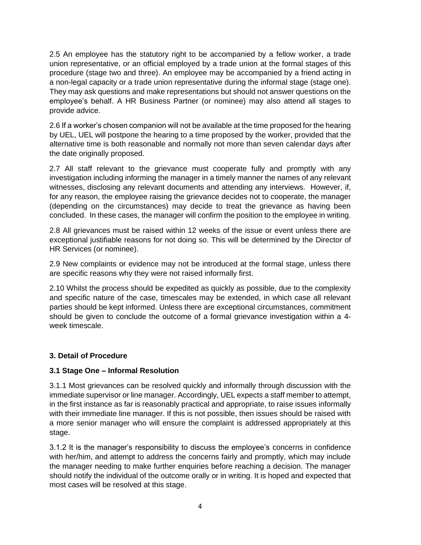2.5 An employee has the statutory right to be accompanied by a fellow worker, a trade union representative, or an official employed by a trade union at the formal stages of this procedure (stage two and three). An employee may be accompanied by a friend acting in a non-legal capacity or a trade union representative during the informal stage (stage one). They may ask questions and make representations but should not answer questions on the employee's behalf. A HR Business Partner (or nominee) may also attend all stages to provide advice.

2.6 If a worker's chosen companion will not be available at the time proposed for the hearing by UEL, UEL will postpone the hearing to a time proposed by the worker, provided that the alternative time is both reasonable and normally not more than seven calendar days after the date originally proposed.

2.7 All staff relevant to the grievance must cooperate fully and promptly with any investigation including informing the manager in a timely manner the names of any relevant witnesses, disclosing any relevant documents and attending any interviews. However, if, for any reason, the employee raising the grievance decides not to cooperate, the manager (depending on the circumstances) may decide to treat the grievance as having been concluded. In these cases, the manager will confirm the position to the employee in writing.

2.8 All grievances must be raised within 12 weeks of the issue or event unless there are exceptional justifiable reasons for not doing so. This will be determined by the Director of HR Services (or nominee).

2.9 New complaints or evidence may not be introduced at the formal stage, unless there are specific reasons why they were not raised informally first.

2.10 Whilst the process should be expedited as quickly as possible, due to the complexity and specific nature of the case, timescales may be extended, in which case all relevant parties should be kept informed. Unless there are exceptional circumstances, commitment should be given to conclude the outcome of a formal grievance investigation within a 4 week timescale.

#### **3. Detail of Procedure**

#### **3.1 Stage One – Informal Resolution**

3.1.1 Most grievances can be resolved quickly and informally through discussion with the immediate supervisor or line manager. Accordingly, UEL expects a staff member to attempt, in the first instance as far is reasonably practical and appropriate, to raise issues informally with their immediate line manager. If this is not possible, then issues should be raised with a more senior manager who will ensure the complaint is addressed appropriately at this stage.

3.1.2 It is the manager's responsibility to discuss the employee's concerns in confidence with her/him, and attempt to address the concerns fairly and promptly, which may include the manager needing to make further enquiries before reaching a decision. The manager should notify the individual of the outcome orally or in writing. It is hoped and expected that most cases will be resolved at this stage.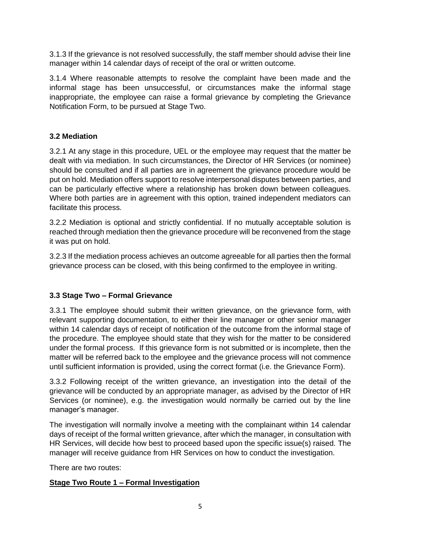3.1.3 If the grievance is not resolved successfully, the staff member should advise their line manager within 14 calendar days of receipt of the oral or written outcome.

3.1.4 Where reasonable attempts to resolve the complaint have been made and the informal stage has been unsuccessful, or circumstances make the informal stage inappropriate, the employee can raise a formal grievance by completing the Grievance Notification Form, to be pursued at Stage Two.

## **3.2 Mediation**

3.2.1 At any stage in this procedure, UEL or the employee may request that the matter be dealt with via mediation. In such circumstances, the Director of HR Services (or nominee) should be consulted and if all parties are in agreement the grievance procedure would be put on hold. Mediation offers support to resolve interpersonal disputes between parties, and can be particularly effective where a relationship has broken down between colleagues. Where both parties are in agreement with this option, trained independent mediators can facilitate this process.

3.2.2 Mediation is optional and strictly confidential. If no mutually acceptable solution is reached through mediation then the grievance procedure will be reconvened from the stage it was put on hold.

3.2.3 If the mediation process achieves an outcome agreeable for all parties then the formal grievance process can be closed, with this being confirmed to the employee in writing.

## **3.3 Stage Two – Formal Grievance**

3.3.1 The employee should submit their written grievance, on the grievance form, with relevant supporting documentation, to either their line manager or other senior manager within 14 calendar days of receipt of notification of the outcome from the informal stage of the procedure. The employee should state that they wish for the matter to be considered under the formal process. If this grievance form is not submitted or is incomplete, then the matter will be referred back to the employee and the grievance process will not commence until sufficient information is provided, using the correct format (i.e. the Grievance Form).

3.3.2 Following receipt of the written grievance, an investigation into the detail of the grievance will be conducted by an appropriate manager, as advised by the Director of HR Services (or nominee), e.g. the investigation would normally be carried out by the line manager's manager.

The investigation will normally involve a meeting with the complainant within 14 calendar days of receipt of the formal written grievance, after which the manager, in consultation with HR Services, will decide how best to proceed based upon the specific issue(s) raised. The manager will receive guidance from HR Services on how to conduct the investigation.

There are two routes:

## **Stage Two Route 1 – Formal Investigation**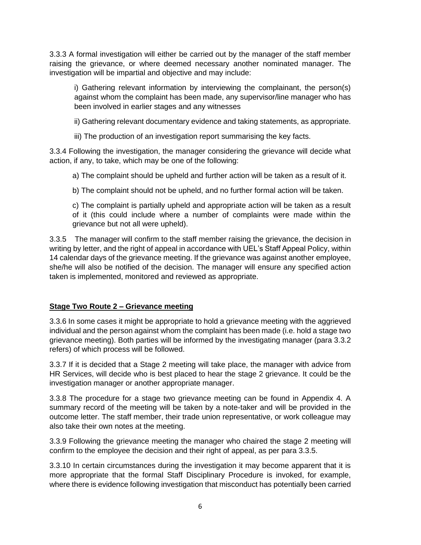3.3.3 A formal investigation will either be carried out by the manager of the staff member raising the grievance, or where deemed necessary another nominated manager. The investigation will be impartial and objective and may include:

i) Gathering relevant information by interviewing the complainant, the person(s) against whom the complaint has been made, any supervisor/line manager who has been involved in earlier stages and any witnesses

ii) Gathering relevant documentary evidence and taking statements, as appropriate.

iii) The production of an investigation report summarising the key facts.

3.3.4 Following the investigation, the manager considering the grievance will decide what action, if any, to take, which may be one of the following:

a) The complaint should be upheld and further action will be taken as a result of it.

b) The complaint should not be upheld, and no further formal action will be taken.

c) The complaint is partially upheld and appropriate action will be taken as a result of it (this could include where a number of complaints were made within the grievance but not all were upheld).

3.3.5 The manager will confirm to the staff member raising the grievance, the decision in writing by letter, and the right of appeal in accordance with UEL's Staff Appeal Policy, within 14 calendar days of the grievance meeting. If the grievance was against another employee, she/he will also be notified of the decision. The manager will ensure any specified action taken is implemented, monitored and reviewed as appropriate.

## **Stage Two Route 2 – Grievance meeting**

3.3.6 In some cases it might be appropriate to hold a grievance meeting with the aggrieved individual and the person against whom the complaint has been made (i.e. hold a stage two grievance meeting). Both parties will be informed by the investigating manager (para 3.3.2 refers) of which process will be followed.

3.3.7 If it is decided that a Stage 2 meeting will take place, the manager with advice from HR Services, will decide who is best placed to hear the stage 2 grievance. It could be the investigation manager or another appropriate manager.

3.3.8 The procedure for a stage two grievance meeting can be found in Appendix 4. A summary record of the meeting will be taken by a note-taker and will be provided in the outcome letter. The staff member, their trade union representative, or work colleague may also take their own notes at the meeting.

3.3.9 Following the grievance meeting the manager who chaired the stage 2 meeting will confirm to the employee the decision and their right of appeal, as per para 3.3.5.

3.3.10 In certain circumstances during the investigation it may become apparent that it is more appropriate that the formal Staff Disciplinary Procedure is invoked, for example, where there is evidence following investigation that misconduct has potentially been carried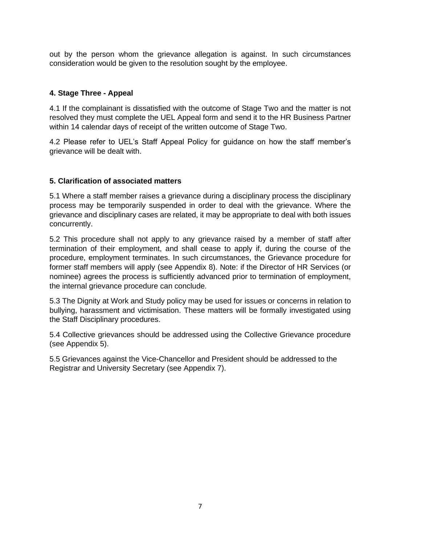out by the person whom the grievance allegation is against. In such circumstances consideration would be given to the resolution sought by the employee.

### **4. Stage Three - Appeal**

4.1 If the complainant is dissatisfied with the outcome of Stage Two and the matter is not resolved they must complete the UEL Appeal form and send it to the HR Business Partner within 14 calendar days of receipt of the written outcome of Stage Two.

4.2 Please refer to UEL's Staff Appeal Policy for guidance on how the staff member's grievance will be dealt with.

#### **5. Clarification of associated matters**

5.1 Where a staff member raises a grievance during a disciplinary process the disciplinary process may be temporarily suspended in order to deal with the grievance. Where the grievance and disciplinary cases are related, it may be appropriate to deal with both issues concurrently.

5.2 This procedure shall not apply to any grievance raised by a member of staff after termination of their employment, and shall cease to apply if, during the course of the procedure, employment terminates. In such circumstances, the Grievance procedure for former staff members will apply (see Appendix 8). Note: if the Director of HR Services (or nominee) agrees the process is sufficiently advanced prior to termination of employment, the internal grievance procedure can conclude.

5.3 The Dignity at Work and Study policy may be used for issues or concerns in relation to bullying, harassment and victimisation. These matters will be formally investigated using the Staff Disciplinary procedures.

5.4 Collective grievances should be addressed using the Collective Grievance procedure (see Appendix 5).

5.5 Grievances against the Vice-Chancellor and President should be addressed to the Registrar and University Secretary (see Appendix 7).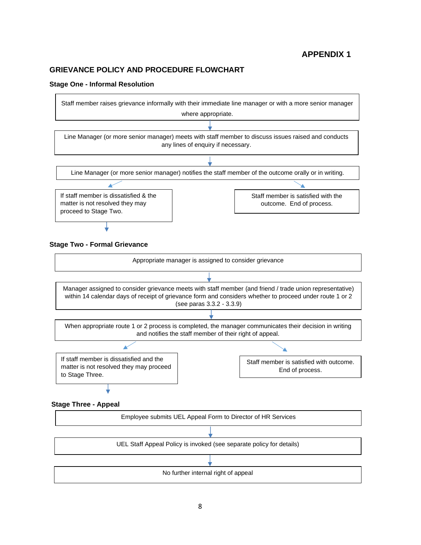#### **GRIEVANCE POLICY AND PROCEDURE FLOWCHART**

#### **Stage One - Informal Resolution**

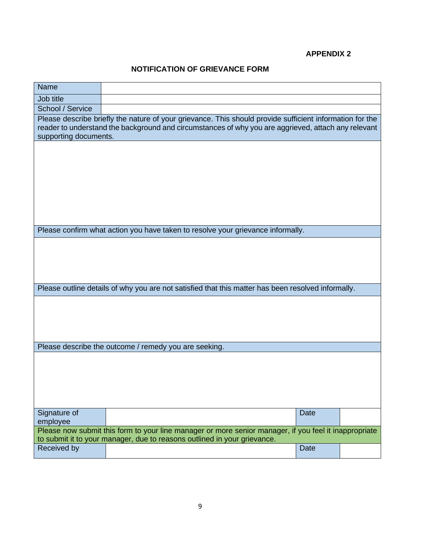## **NOTIFICATION OF GRIEVANCE FORM**

| <b>Name</b>                                                                                                                                                                                                                              |                                                                                                       |  |  |  |
|------------------------------------------------------------------------------------------------------------------------------------------------------------------------------------------------------------------------------------------|-------------------------------------------------------------------------------------------------------|--|--|--|
| Job title                                                                                                                                                                                                                                |                                                                                                       |  |  |  |
| School / Service                                                                                                                                                                                                                         |                                                                                                       |  |  |  |
| Please describe briefly the nature of your grievance. This should provide sufficient information for the<br>reader to understand the background and circumstances of why you are aggrieved, attach any relevant<br>supporting documents. |                                                                                                       |  |  |  |
|                                                                                                                                                                                                                                          |                                                                                                       |  |  |  |
|                                                                                                                                                                                                                                          |                                                                                                       |  |  |  |
|                                                                                                                                                                                                                                          |                                                                                                       |  |  |  |
|                                                                                                                                                                                                                                          |                                                                                                       |  |  |  |
|                                                                                                                                                                                                                                          |                                                                                                       |  |  |  |
|                                                                                                                                                                                                                                          |                                                                                                       |  |  |  |
| Please confirm what action you have taken to resolve your grievance informally.                                                                                                                                                          |                                                                                                       |  |  |  |
|                                                                                                                                                                                                                                          |                                                                                                       |  |  |  |
|                                                                                                                                                                                                                                          |                                                                                                       |  |  |  |
|                                                                                                                                                                                                                                          |                                                                                                       |  |  |  |
| Please outline details of why you are not satisfied that this matter has been resolved informally.                                                                                                                                       |                                                                                                       |  |  |  |
|                                                                                                                                                                                                                                          |                                                                                                       |  |  |  |
|                                                                                                                                                                                                                                          |                                                                                                       |  |  |  |
|                                                                                                                                                                                                                                          |                                                                                                       |  |  |  |
|                                                                                                                                                                                                                                          |                                                                                                       |  |  |  |
| Please describe the outcome / remedy you are seeking.                                                                                                                                                                                    |                                                                                                       |  |  |  |
|                                                                                                                                                                                                                                          |                                                                                                       |  |  |  |
|                                                                                                                                                                                                                                          |                                                                                                       |  |  |  |
|                                                                                                                                                                                                                                          |                                                                                                       |  |  |  |
|                                                                                                                                                                                                                                          |                                                                                                       |  |  |  |
| Signature of                                                                                                                                                                                                                             | <b>Date</b>                                                                                           |  |  |  |
| employee                                                                                                                                                                                                                                 | Please now submit this form to your line manager or more senior manager, if you feel it inappropriate |  |  |  |
| to submit it to your manager, due to reasons outlined in your grievance.                                                                                                                                                                 |                                                                                                       |  |  |  |
| Received by                                                                                                                                                                                                                              | <b>Date</b>                                                                                           |  |  |  |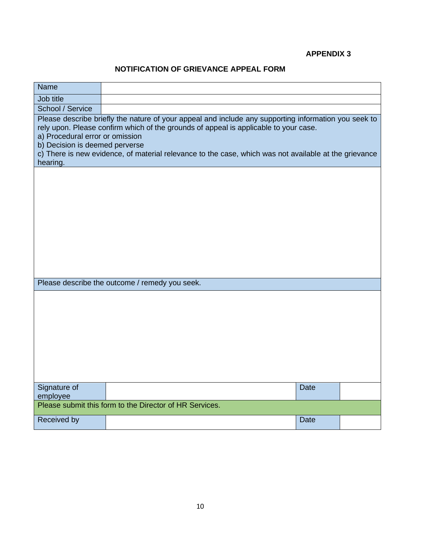## **NOTIFICATION OF GRIEVANCE APPEAL FORM**

| <b>Name</b>                                                                                                                                                                                                                                                                                                                                                                            |  |             |  |  |
|----------------------------------------------------------------------------------------------------------------------------------------------------------------------------------------------------------------------------------------------------------------------------------------------------------------------------------------------------------------------------------------|--|-------------|--|--|
| Job title                                                                                                                                                                                                                                                                                                                                                                              |  |             |  |  |
| School / Service                                                                                                                                                                                                                                                                                                                                                                       |  |             |  |  |
| Please describe briefly the nature of your appeal and include any supporting information you seek to<br>rely upon. Please confirm which of the grounds of appeal is applicable to your case.<br>a) Procedural error or omission<br>b) Decision is deemed perverse<br>c) There is new evidence, of material relevance to the case, which was not available at the grievance<br>hearing. |  |             |  |  |
|                                                                                                                                                                                                                                                                                                                                                                                        |  |             |  |  |
| Please describe the outcome / remedy you seek.                                                                                                                                                                                                                                                                                                                                         |  |             |  |  |
|                                                                                                                                                                                                                                                                                                                                                                                        |  |             |  |  |
| Signature of<br>employee                                                                                                                                                                                                                                                                                                                                                               |  | <b>Date</b> |  |  |
| Please submit this form to the Director of HR Services.                                                                                                                                                                                                                                                                                                                                |  |             |  |  |
| Received by                                                                                                                                                                                                                                                                                                                                                                            |  | <b>Date</b> |  |  |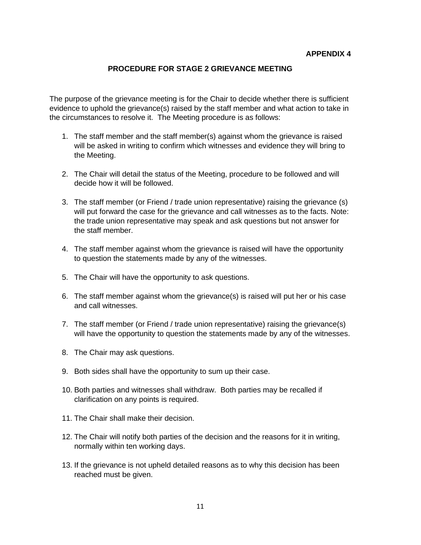#### **PROCEDURE FOR STAGE 2 GRIEVANCE MEETING**

The purpose of the grievance meeting is for the Chair to decide whether there is sufficient evidence to uphold the grievance(s) raised by the staff member and what action to take in the circumstances to resolve it. The Meeting procedure is as follows:

- 1. The staff member and the staff member(s) against whom the grievance is raised will be asked in writing to confirm which witnesses and evidence they will bring to the Meeting.
- 2. The Chair will detail the status of the Meeting, procedure to be followed and will decide how it will be followed.
- 3. The staff member (or Friend / trade union representative) raising the grievance (s) will put forward the case for the grievance and call witnesses as to the facts. Note: the trade union representative may speak and ask questions but not answer for the staff member.
- 4. The staff member against whom the grievance is raised will have the opportunity to question the statements made by any of the witnesses.
- 5. The Chair will have the opportunity to ask questions.
- 6. The staff member against whom the grievance(s) is raised will put her or his case and call witnesses.
- 7. The staff member (or Friend / trade union representative) raising the grievance(s) will have the opportunity to question the statements made by any of the witnesses.
- 8. The Chair may ask questions.
- 9. Both sides shall have the opportunity to sum up their case.
- 10. Both parties and witnesses shall withdraw. Both parties may be recalled if clarification on any points is required.
- 11. The Chair shall make their decision.
- 12. The Chair will notify both parties of the decision and the reasons for it in writing, normally within ten working days.
- 13. If the grievance is not upheld detailed reasons as to why this decision has been reached must be given.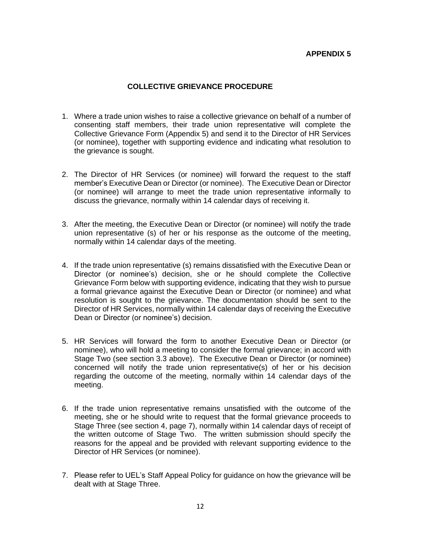#### **COLLECTIVE GRIEVANCE PROCEDURE**

- 1. Where a trade union wishes to raise a collective grievance on behalf of a number of consenting staff members, their trade union representative will complete the Collective Grievance Form (Appendix 5) and send it to the Director of HR Services (or nominee), together with supporting evidence and indicating what resolution to the grievance is sought.
- 2. The Director of HR Services (or nominee) will forward the request to the staff member's Executive Dean or Director (or nominee). The Executive Dean or Director (or nominee) will arrange to meet the trade union representative informally to discuss the grievance, normally within 14 calendar days of receiving it.
- 3. After the meeting, the Executive Dean or Director (or nominee) will notify the trade union representative (s) of her or his response as the outcome of the meeting, normally within 14 calendar days of the meeting.
- 4. If the trade union representative (s) remains dissatisfied with the Executive Dean or Director (or nominee's) decision, she or he should complete the Collective Grievance Form below with supporting evidence, indicating that they wish to pursue a formal grievance against the Executive Dean or Director (or nominee) and what resolution is sought to the grievance. The documentation should be sent to the Director of HR Services, normally within 14 calendar days of receiving the Executive Dean or Director (or nominee's) decision.
- 5. HR Services will forward the form to another Executive Dean or Director (or nominee), who will hold a meeting to consider the formal grievance; in accord with Stage Two (see section 3.3 above). The Executive Dean or Director (or nominee) concerned will notify the trade union representative(s) of her or his decision regarding the outcome of the meeting, normally within 14 calendar days of the meeting.
- 6. If the trade union representative remains unsatisfied with the outcome of the meeting, she or he should write to request that the formal grievance proceeds to Stage Three (see section 4, page 7), normally within 14 calendar days of receipt of the written outcome of Stage Two. The written submission should specify the reasons for the appeal and be provided with relevant supporting evidence to the Director of HR Services (or nominee).
- 7. Please refer to UEL's Staff Appeal Policy for guidance on how the grievance will be dealt with at Stage Three.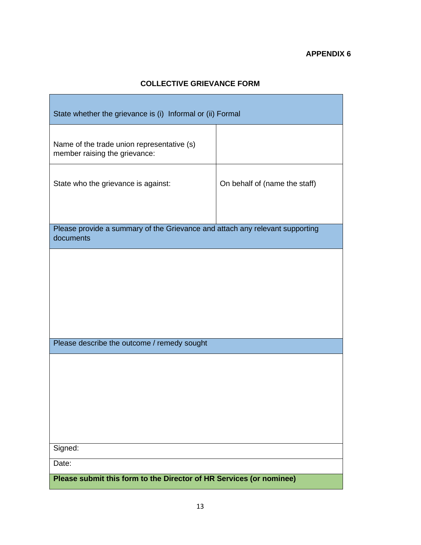## **COLLECTIVE GRIEVANCE FORM**

| State whether the grievance is (i) Informal or (ii) Formal                                |                               |  |  |
|-------------------------------------------------------------------------------------------|-------------------------------|--|--|
| Name of the trade union representative (s)<br>member raising the grievance:               |                               |  |  |
| State who the grievance is against:                                                       | On behalf of (name the staff) |  |  |
| Please provide a summary of the Grievance and attach any relevant supporting<br>documents |                               |  |  |
|                                                                                           |                               |  |  |
|                                                                                           |                               |  |  |
| Please describe the outcome / remedy sought                                               |                               |  |  |
|                                                                                           |                               |  |  |
|                                                                                           |                               |  |  |
| Signed:                                                                                   |                               |  |  |
| Date:                                                                                     |                               |  |  |
| Please submit this form to the Director of HR Services (or nominee)                       |                               |  |  |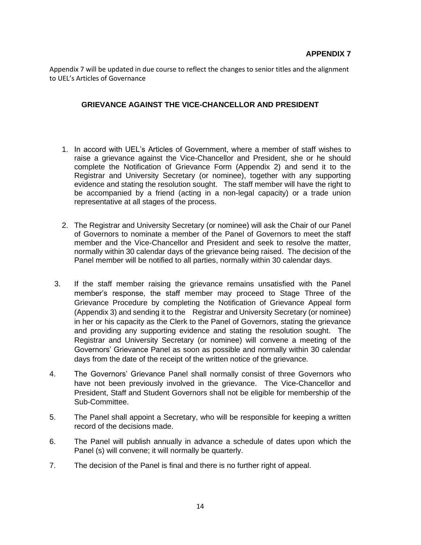Appendix 7 will be updated in due course to reflect the changes to senior titles and the alignment to UEL's Articles of Governance

#### **GRIEVANCE AGAINST THE VICE-CHANCELLOR AND PRESIDENT**

- 1. In accord with UEL's Articles of Government, where a member of staff wishes to raise a grievance against the Vice-Chancellor and President, she or he should complete the Notification of Grievance Form (Appendix 2) and send it to the Registrar and University Secretary (or nominee), together with any supporting evidence and stating the resolution sought. The staff member will have the right to be accompanied by a friend (acting in a non-legal capacity) or a trade union representative at all stages of the process.
- 2. The Registrar and University Secretary (or nominee) will ask the Chair of our Panel of Governors to nominate a member of the Panel of Governors to meet the staff member and the Vice-Chancellor and President and seek to resolve the matter, normally within 30 calendar days of the grievance being raised. The decision of the Panel member will be notified to all parties, normally within 30 calendar days.
- 3. If the staff member raising the grievance remains unsatisfied with the Panel member's response, the staff member may proceed to Stage Three of the Grievance Procedure by completing the Notification of Grievance Appeal form (Appendix 3) and sending it to the Registrar and University Secretary (or nominee) in her or his capacity as the Clerk to the Panel of Governors, stating the grievance and providing any supporting evidence and stating the resolution sought. The Registrar and University Secretary (or nominee) will convene a meeting of the Governors' Grievance Panel as soon as possible and normally within 30 calendar days from the date of the receipt of the written notice of the grievance.
- 4. The Governors' Grievance Panel shall normally consist of three Governors who have not been previously involved in the grievance. The Vice-Chancellor and President, Staff and Student Governors shall not be eligible for membership of the Sub-Committee.
- 5. The Panel shall appoint a Secretary, who will be responsible for keeping a written record of the decisions made.
- 6. The Panel will publish annually in advance a schedule of dates upon which the Panel (s) will convene; it will normally be quarterly.
- 7. The decision of the Panel is final and there is no further right of appeal.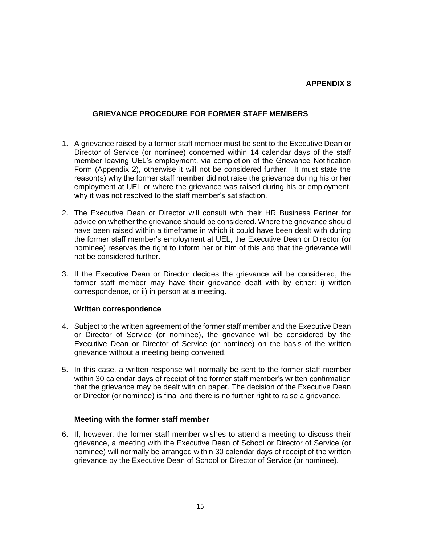#### **GRIEVANCE PROCEDURE FOR FORMER STAFF MEMBERS**

- 1. A grievance raised by a former staff member must be sent to the Executive Dean or Director of Service (or nominee) concerned within 14 calendar days of the staff member leaving UEL's employment, via completion of the Grievance Notification Form (Appendix 2), otherwise it will not be considered further. It must state the reason(s) why the former staff member did not raise the grievance during his or her employment at UEL or where the grievance was raised during his or employment, why it was not resolved to the staff member's satisfaction.
- 2. The Executive Dean or Director will consult with their HR Business Partner for advice on whether the grievance should be considered. Where the grievance should have been raised within a timeframe in which it could have been dealt with during the former staff member's employment at UEL, the Executive Dean or Director (or nominee) reserves the right to inform her or him of this and that the grievance will not be considered further.
- 3. If the Executive Dean or Director decides the grievance will be considered, the former staff member may have their grievance dealt with by either: i) written correspondence, or ii) in person at a meeting.

#### **Written correspondence**

- 4. Subject to the written agreement of the former staff member and the Executive Dean or Director of Service (or nominee), the grievance will be considered by the Executive Dean or Director of Service (or nominee) on the basis of the written grievance without a meeting being convened.
- 5. In this case, a written response will normally be sent to the former staff member within 30 calendar days of receipt of the former staff member's written confirmation that the grievance may be dealt with on paper. The decision of the Executive Dean or Director (or nominee) is final and there is no further right to raise a grievance.

#### **Meeting with the former staff member**

6. If, however, the former staff member wishes to attend a meeting to discuss their grievance, a meeting with the Executive Dean of School or Director of Service (or nominee) will normally be arranged within 30 calendar days of receipt of the written grievance by the Executive Dean of School or Director of Service (or nominee).